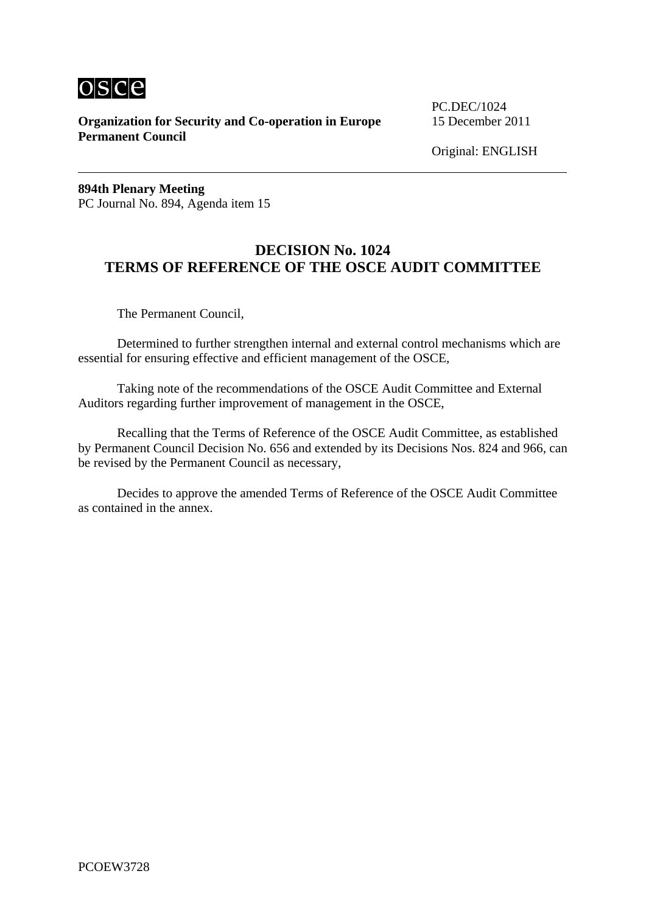

**Organization for Security and Co-operation in Europe** 15 December 2011 **Permanent Council**

PC.DEC/1024

Original: ENGLISH

**894th Plenary Meeting**  PC Journal No. 894, Agenda item 15

# **DECISION No. 1024 TERMS OF REFERENCE OF THE OSCE AUDIT COMMITTEE**

The Permanent Council,

 Determined to further strengthen internal and external control mechanisms which are essential for ensuring effective and efficient management of the OSCE,

 Taking note of the recommendations of the OSCE Audit Committee and External Auditors regarding further improvement of management in the OSCE,

 Recalling that the Terms of Reference of the OSCE Audit Committee, as established by Permanent Council Decision No. 656 and extended by its Decisions Nos. 824 and 966, can be revised by the Permanent Council as necessary,

 Decides to approve the amended Terms of Reference of the OSCE Audit Committee as contained in the annex.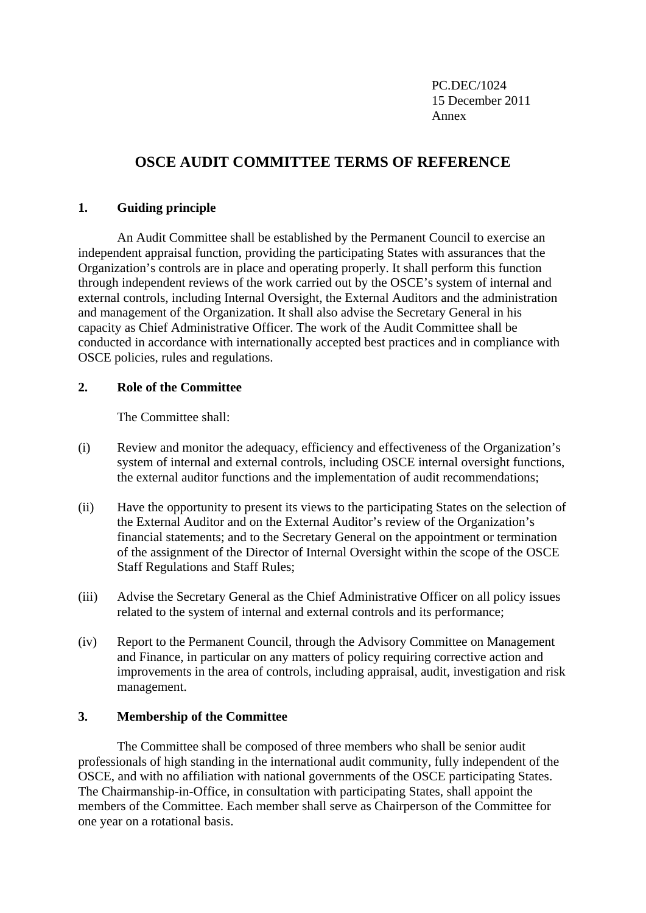PC.DEC/1024 15 December 2011 Annex

# **OSCE AUDIT COMMITTEE TERMS OF REFERENCE**

# **1. Guiding principle**

 An Audit Committee shall be established by the Permanent Council to exercise an independent appraisal function, providing the participating States with assurances that the Organization's controls are in place and operating properly. It shall perform this function through independent reviews of the work carried out by the OSCE's system of internal and external controls, including Internal Oversight, the External Auditors and the administration and management of the Organization. It shall also advise the Secretary General in his capacity as Chief Administrative Officer. The work of the Audit Committee shall be conducted in accordance with internationally accepted best practices and in compliance with OSCE policies, rules and regulations.

# **2. Role of the Committee**

The Committee shall:

- (i) Review and monitor the adequacy, efficiency and effectiveness of the Organization's system of internal and external controls, including OSCE internal oversight functions, the external auditor functions and the implementation of audit recommendations;
- (ii) Have the opportunity to present its views to the participating States on the selection of the External Auditor and on the External Auditor's review of the Organization's financial statements; and to the Secretary General on the appointment or termination of the assignment of the Director of Internal Oversight within the scope of the OSCE Staff Regulations and Staff Rules;
- (iii) Advise the Secretary General as the Chief Administrative Officer on all policy issues related to the system of internal and external controls and its performance;
- (iv) Report to the Permanent Council, through the Advisory Committee on Management and Finance, in particular on any matters of policy requiring corrective action and improvements in the area of controls, including appraisal, audit, investigation and risk management.

# **3. Membership of the Committee**

 The Committee shall be composed of three members who shall be senior audit professionals of high standing in the international audit community, fully independent of the OSCE, and with no affiliation with national governments of the OSCE participating States. The Chairmanship-in-Office, in consultation with participating States, shall appoint the members of the Committee. Each member shall serve as Chairperson of the Committee for one year on a rotational basis.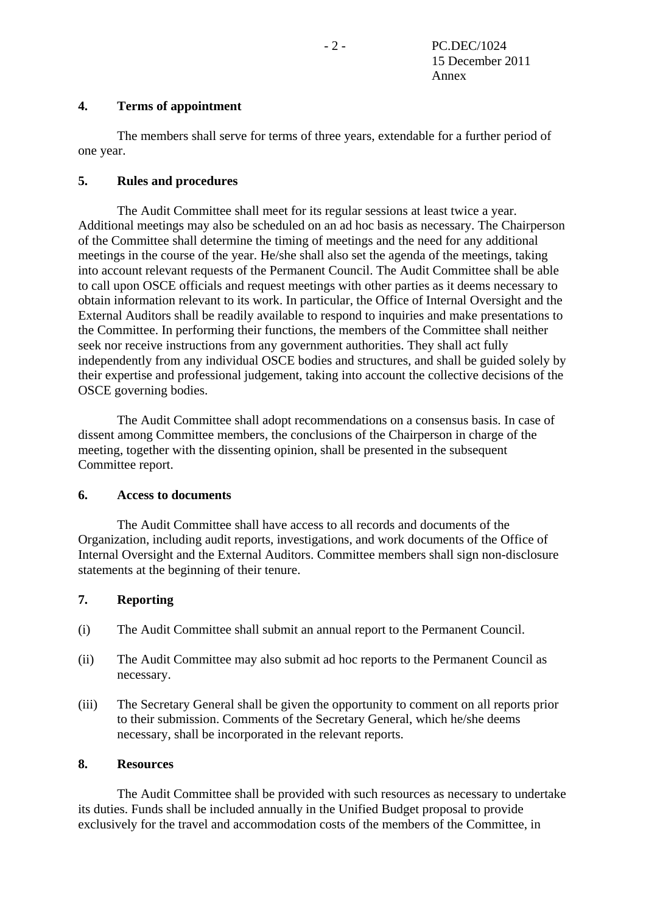# **4. Terms of appointment**

 The members shall serve for terms of three years, extendable for a further period of one year.

# **5. Rules and procedures**

 The Audit Committee shall meet for its regular sessions at least twice a year. Additional meetings may also be scheduled on an ad hoc basis as necessary. The Chairperson of the Committee shall determine the timing of meetings and the need for any additional meetings in the course of the year. He/she shall also set the agenda of the meetings, taking into account relevant requests of the Permanent Council. The Audit Committee shall be able to call upon OSCE officials and request meetings with other parties as it deems necessary to obtain information relevant to its work. In particular, the Office of Internal Oversight and the External Auditors shall be readily available to respond to inquiries and make presentations to the Committee. In performing their functions, the members of the Committee shall neither seek nor receive instructions from any government authorities. They shall act fully independently from any individual OSCE bodies and structures, and shall be guided solely by their expertise and professional judgement, taking into account the collective decisions of the OSCE governing bodies.

 The Audit Committee shall adopt recommendations on a consensus basis. In case of dissent among Committee members, the conclusions of the Chairperson in charge of the meeting, together with the dissenting opinion, shall be presented in the subsequent Committee report.

# **6. Access to documents**

 The Audit Committee shall have access to all records and documents of the Organization, including audit reports, investigations, and work documents of the Office of Internal Oversight and the External Auditors. Committee members shall sign non-disclosure statements at the beginning of their tenure.

# **7. Reporting**

- (i) The Audit Committee shall submit an annual report to the Permanent Council.
- (ii) The Audit Committee may also submit ad hoc reports to the Permanent Council as necessary.
- (iii) The Secretary General shall be given the opportunity to comment on all reports prior to their submission. Comments of the Secretary General, which he/she deems necessary, shall be incorporated in the relevant reports.

#### **8. Resources**

 The Audit Committee shall be provided with such resources as necessary to undertake its duties. Funds shall be included annually in the Unified Budget proposal to provide exclusively for the travel and accommodation costs of the members of the Committee, in